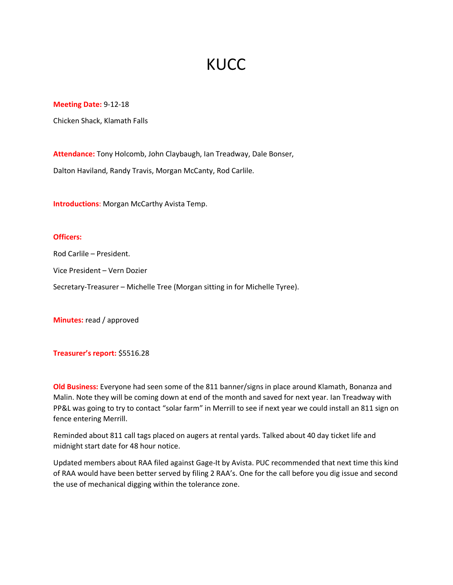## **KUCC**

## **Meeting Date:** 9-12-18

Chicken Shack, Klamath Falls

**Attendance:** Tony Holcomb, John Claybaugh, Ian Treadway, Dale Bonser,

Dalton Haviland, Randy Travis, Morgan McCanty, Rod Carlile.

**Introductions**: Morgan McCarthy Avista Temp.

## **Officers:**

Rod Carlile – President.

Vice President – Vern Dozier

Secretary-Treasurer – Michelle Tree (Morgan sitting in for Michelle Tyree).

**Minutes:** read / approved

**Treasurer's report:** \$5516.28

**Old Business:** Everyone had seen some of the 811 banner/signs in place around Klamath, Bonanza and Malin. Note they will be coming down at end of the month and saved for next year. Ian Treadway with PP&L was going to try to contact "solar farm" in Merrill to see if next year we could install an 811 sign on fence entering Merrill.

Reminded about 811 call tags placed on augers at rental yards. Talked about 40 day ticket life and midnight start date for 48 hour notice.

Updated members about RAA filed against Gage-It by Avista. PUC recommended that next time this kind of RAA would have been better served by filing 2 RAA's. One for the call before you dig issue and second the use of mechanical digging within the tolerance zone.